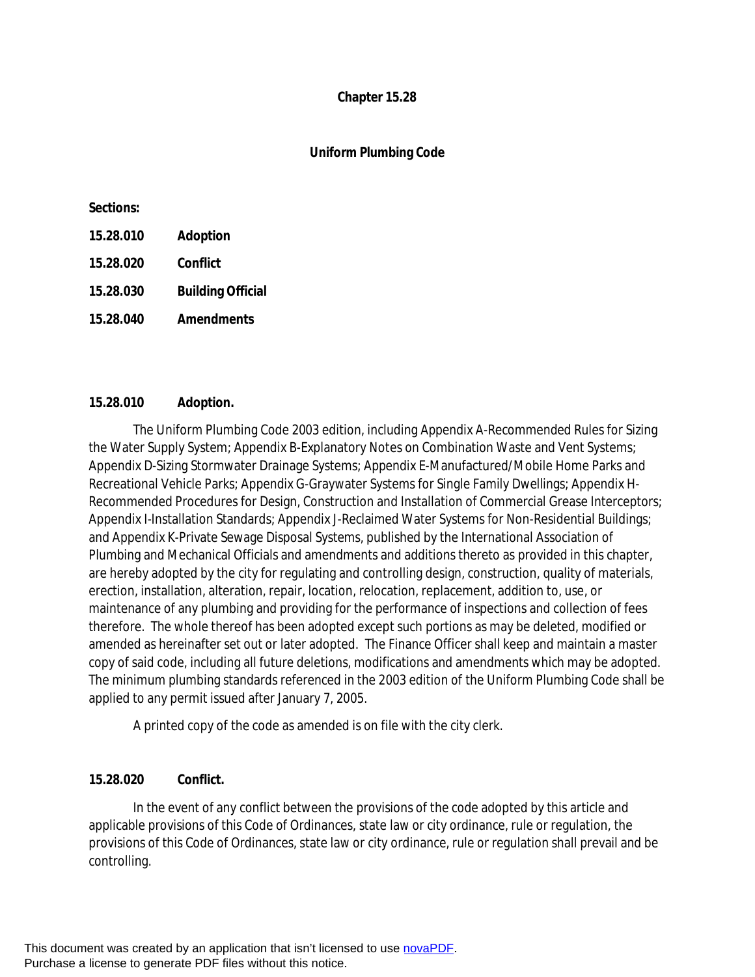## **Chapter 15.28**

# **Uniform Plumbing Code**

#### **Sections:**

| 15.28.010 | <b>Adoption</b>          |
|-----------|--------------------------|
| 15.28.020 | Conflict                 |
| 15.28.030 | <b>Building Official</b> |
| 15.28.040 | <b>Amendments</b>        |

## **15.28.010 Adoption.**

The Uniform Plumbing Code 2003 edition, including Appendix A-Recommended Rules for Sizing the Water Supply System; Appendix B-Explanatory Notes on Combination Waste and Vent Systems; Appendix D-Sizing Stormwater Drainage Systems; Appendix E-Manufactured/Mobile Home Parks and Recreational Vehicle Parks; Appendix G-Graywater Systems for Single Family Dwellings; Appendix H-Recommended Procedures for Design, Construction and Installation of Commercial Grease Interceptors; Appendix I-Installation Standards; Appendix J-Reclaimed Water Systems for Non-Residential Buildings; and Appendix K-Private Sewage Disposal Systems, published by the International Association of Plumbing and Mechanical Officials and amendments and additions thereto as provided in this chapter, are hereby adopted by the city for regulating and controlling design, construction, quality of materials, erection, installation, alteration, repair, location, relocation, replacement, addition to, use, or maintenance of any plumbing and providing for the performance of inspections and collection of fees therefore. The whole thereof has been adopted except such portions as may be deleted, modified or amended as hereinafter set out or later adopted. The Finance Officer shall keep and maintain a master copy of said code, including all future deletions, modifications and amendments which may be adopted. The minimum plumbing standards referenced in the 2003 edition of the Uniform Plumbing Code shall be applied to any permit issued after January 7, 2005.

A printed copy of the code as amended is on file with the city clerk.

# **15.28.020 Conflict.**

In the event of any conflict between the provisions of the code adopted by this article and applicable provisions of this Code of Ordinances, state law or city ordinance, rule or regulation, the provisions of this Code of Ordinances, state law or city ordinance, rule or regulation shall prevail and be controlling.